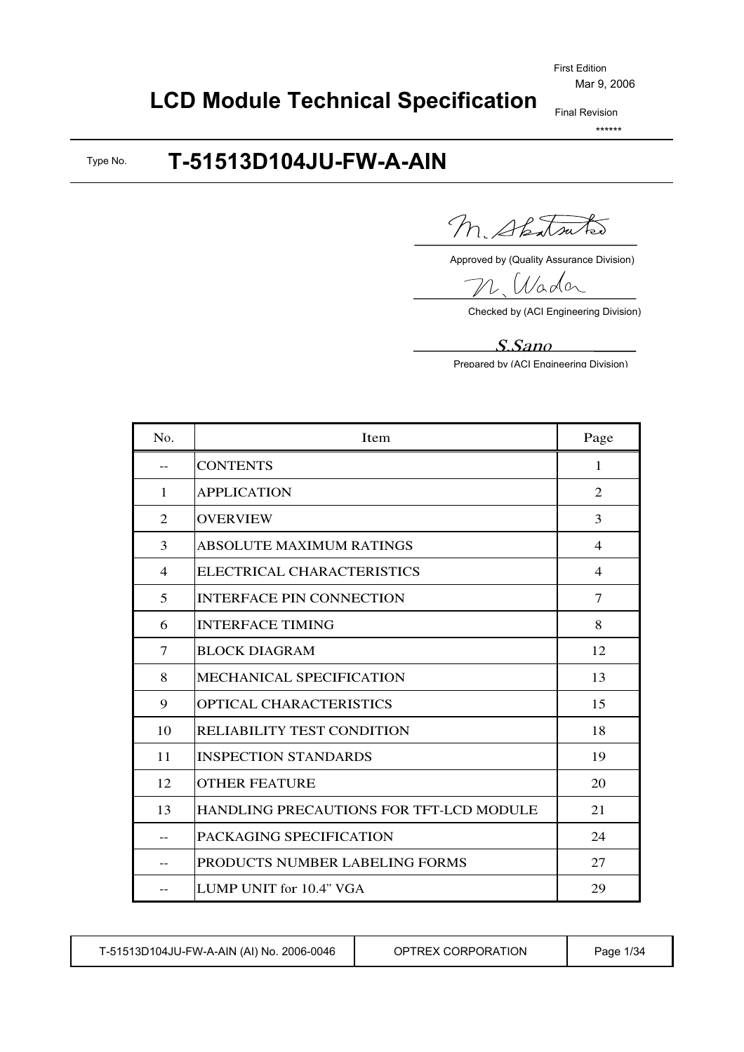# **LCD Module Technical Specification**

Final Revision \*\*\*\*\*\*

#### **T-51513D104JU-FW-A-AIN** Type No.

M. Shatsutes

Approved by (Quality Assurance Division)

Nada

Checked by (ACI Engineering Division)

#### S.San<sup>o</sup>

Prepared by (ACI Engineering Division)

| No.            | <b>Item</b>                                    | Page           |
|----------------|------------------------------------------------|----------------|
| $- -$          | <b>CONTENTS</b>                                | 1              |
| $\mathbf{1}$   | <b>APPLICATION</b>                             | 2              |
| $\overline{2}$ | <b>OVERVIEW</b>                                | 3              |
| 3              | <b>ABSOLUTE MAXIMUM RATINGS</b>                | 4              |
| $\overline{4}$ | ELECTRICAL CHARACTERISTICS                     | $\overline{4}$ |
| 5              | <b>INTERFACE PIN CONNECTION</b>                | $\tau$         |
| 6              | <b>INTERFACE TIMING</b>                        | 8              |
| 7              | <b>BLOCK DIAGRAM</b>                           | 12             |
| 8              | <b>MECHANICAL SPECIFICATION</b>                | 13             |
| 9              | <b>OPTICAL CHARACTERISTICS</b>                 | 15             |
| 10             | RELIABILITY TEST CONDITION                     | 18             |
| 11             | <b>INSPECTION STANDARDS</b>                    | 19             |
| 12             | <b>OTHER FEATURE</b>                           | 20             |
| 13             | <b>HANDLING PRECAUTIONS FOR TFT-LCD MODULE</b> | 21             |
| --             | PACKAGING SPECIFICATION                        | 24             |
|                | PRODUCTS NUMBER LABELING FORMS                 | 27             |
|                | LUMP UNIT for 10.4" VGA                        | 29             |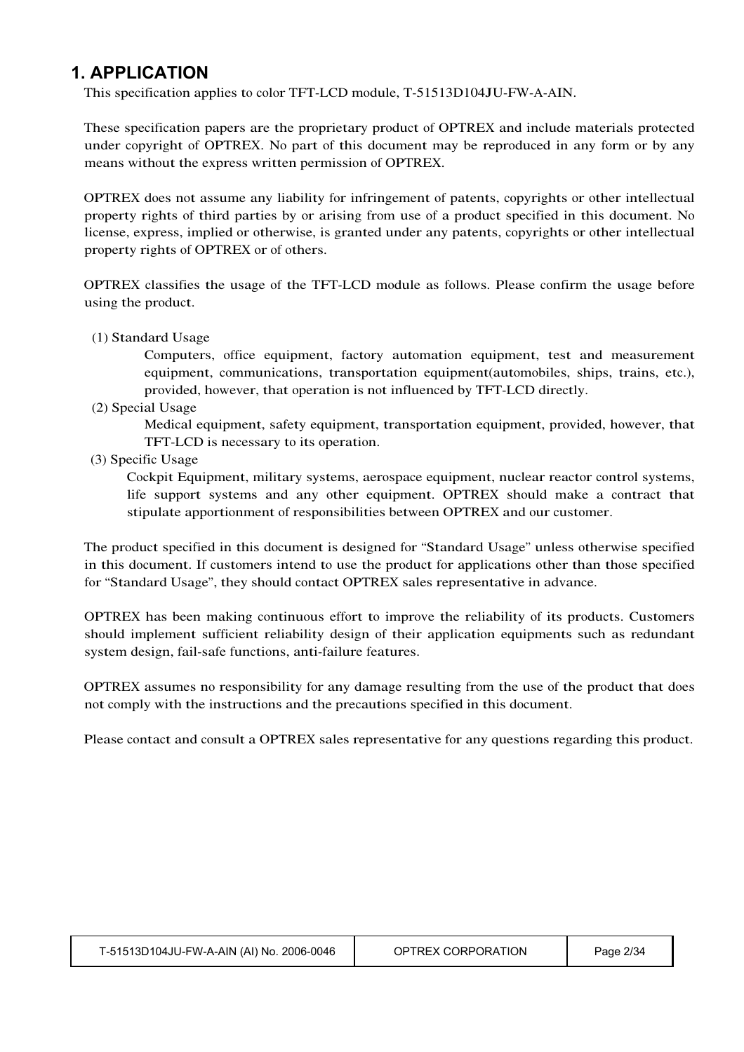### **1. APPLICATION**

This specification applies to color TFT-LCD module, T-51513D104JU-FW-A-AIN.

These specification papers are the proprietary product of OPTREX and include materials protected under copyright of OPTREX. No part of this document may be reproduced in any form or by any means without the express written permission of OPTREX.

OPTREX does not assume any liability for infringement of patents, copyrights or other intellectual property rights of third parties by or arising from use of a product specified in this document. No license, express, implied or otherwise, is granted under any patents, copyrights or other intellectual property rights of OPTREX or of others.

OPTREX classifies the usage of the TFT-LCD module as follows. Please confirm the usage before using the product.

(1) Standard Usage

Computers, office equipment, factory automation equipment, test and measurement equipment, communications, transportation equipment(automobiles, ships, trains, etc.), provided, however, that operation is not influenced by TFT-LCD directly.

(2) Special Usage

Medical equipment, safety equipment, transportation equipment, provided, however, that TFT-LCD is necessary to its operation.

(3) Specific Usage

Cockpit Equipment, military systems, aerospace equipment, nuclear reactor control systems, life support systems and any other equipment. OPTREX should make a contract that stipulate apportionment of responsibilities between OPTREX and our customer.

The product specified in this document is designed for "Standard Usage" unless otherwise specified in this document. If customers intend to use the product for applications other than those specified for "Standard Usage", they should contact OPTREX sales representative in advance.

OPTREX has been making continuous effort to improve the reliability of its products. Customers should implement sufficient reliability design of their application equipments such as redundant system design, fail-safe functions, anti-failure features.

OPTREX assumes no responsibility for any damage resulting from the use of the product that does not comply with the instructions and the precautions specified in this document.

Please contact and consult a OPTREX sales representative for any questions regarding this product.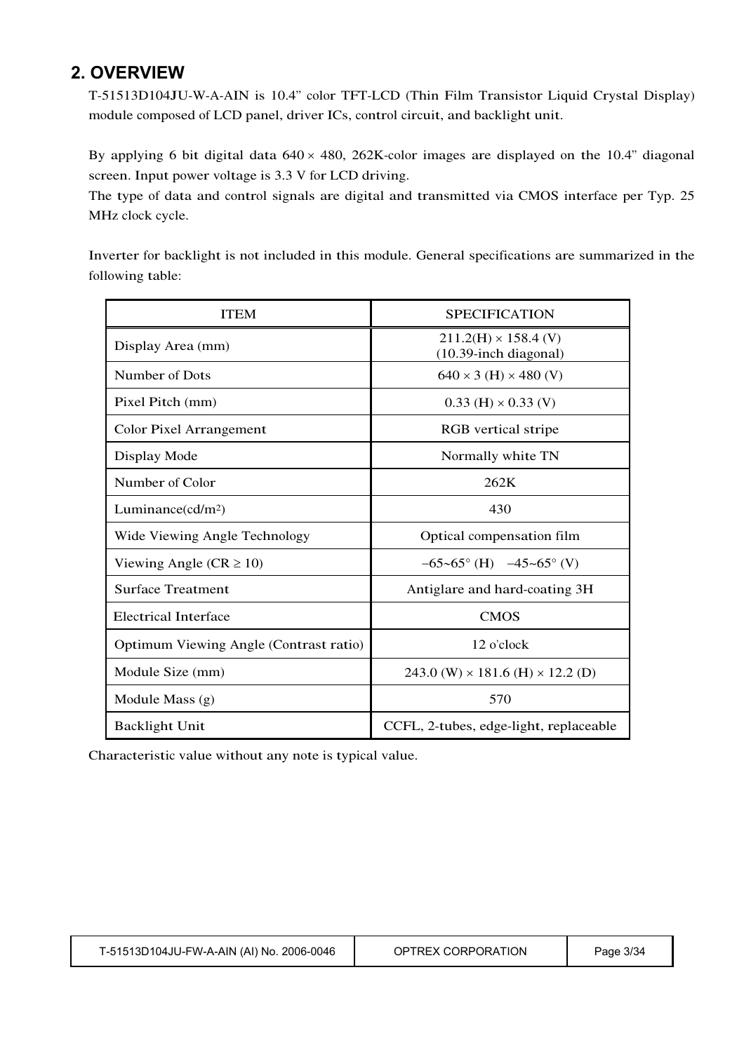### **2. OVERVIEW**

T-51513D104JU-W-A-AIN is 10.4" color TFT-LCD (Thin Film Transistor Liquid Crystal Display) module composed of LCD panel, driver ICs, control circuit, and backlight unit.

By applying 6 bit digital data  $640 \times 480$ , 262K-color images are displayed on the 10.4" diagonal screen. Input power voltage is 3.3 V for LCD driving.

The type of data and control signals are digital and transmitted via CMOS interface per Typ. 25 MHz clock cycle.

Inverter for backlight is not included in this module. General specifications are summarized in the following table:

| <b>ITEM</b>                            | <b>SPECIFICATION</b>                                 |
|----------------------------------------|------------------------------------------------------|
| Display Area (mm)                      | $211.2(H) \times 158.4$ (V)<br>(10.39-inch diagonal) |
| Number of Dots                         | $640 \times 3$ (H) $\times$ 480 (V)                  |
| Pixel Pitch (mm)                       | $0.33$ (H) $\times$ 0.33 (V)                         |
| <b>Color Pixel Arrangement</b>         | RGB vertical stripe                                  |
| Display Mode                           | Normally white TN                                    |
| Number of Color                        | 262K                                                 |
| Luminance $(cd/m^2)$                   | 430                                                  |
| Wide Viewing Angle Technology          | Optical compensation film                            |
| Viewing Angle ( $CR \ge 10$ )          | $-65-65^{\circ}$ (H) $-45-65^{\circ}$ (V)            |
| <b>Surface Treatment</b>               | Antiglare and hard-coating 3H                        |
| <b>Electrical Interface</b>            | <b>CMOS</b>                                          |
| Optimum Viewing Angle (Contrast ratio) | $12$ o'clock                                         |
| Module Size (mm)                       | 243.0 (W) $\times$ 181.6 (H) $\times$ 12.2 (D)       |
| Module Mass $(g)$                      | 570                                                  |
| <b>Backlight Unit</b>                  | CCFL, 2-tubes, edge-light, replaceable               |

Characteristic value without any note is typical value.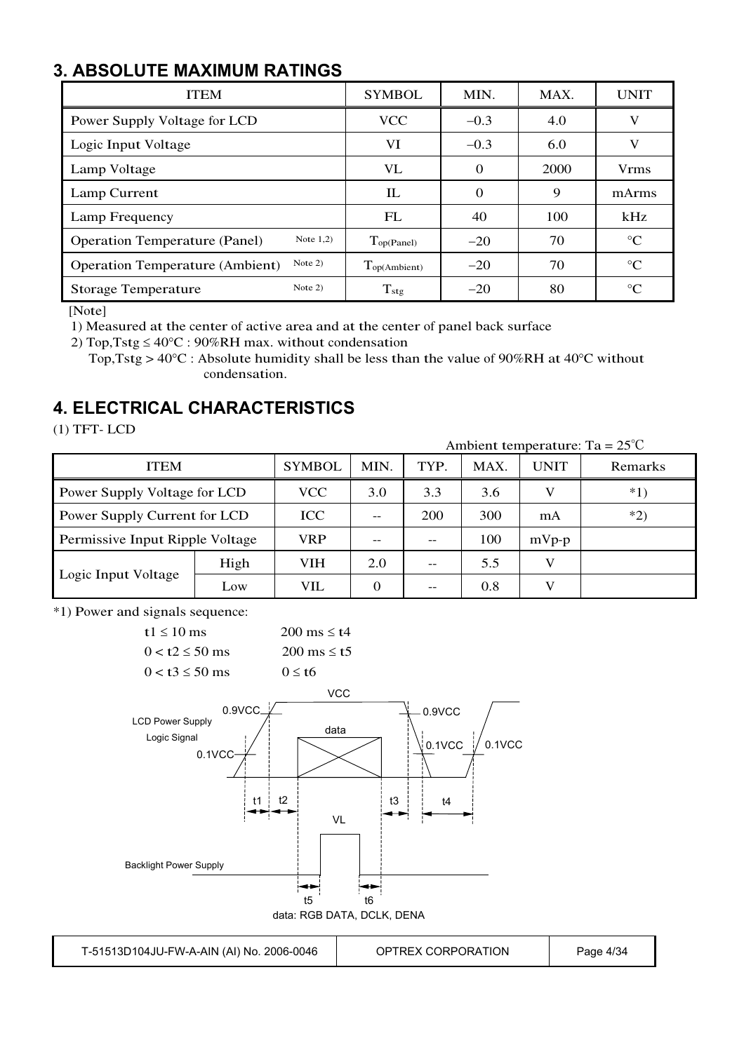## **3. ABSOLUTE MAXIMUM RATINGS**

| <b>ITEM</b>                                         | <b>SYMBOL</b>               | MIN.     | MAX. | <b>UNIT</b>     |
|-----------------------------------------------------|-----------------------------|----------|------|-----------------|
| Power Supply Voltage for LCD                        | <b>VCC</b>                  | $-0.3$   | 4.0  | V               |
| Logic Input Voltage                                 | VI                          | $-0.3$   | 6.0  | V               |
| Lamp Voltage                                        | VL                          | $\Omega$ | 2000 | <b>V</b> rms    |
| Lamp Current                                        | IL                          | $\Omega$ | 9    | mArms           |
| Lamp Frequency                                      | FL                          | 40       | 100  | kHz             |
| Note $1,2)$<br><b>Operation Temperature (Panel)</b> | $\Gamma_{\text{op(Panel)}}$ | $-20$    | 70   | $\rm ^{\circ}C$ |
| Note $2)$<br><b>Operation Temperature (Ambient)</b> | $T_{op(Ambient)}$           | $-20$    | 70   | $\rm ^{\circ}C$ |
| Note $2)$<br><b>Storage Temperature</b>             | $T_{\rm stg}$               | $-20$    | 80   | $\rm ^{\circ}C$ |

[Note]

1) Measured at the center of active area and at the center of panel back surface

2) Top, Tstg  $\leq 40^{\circ}$ C : 90%RH max. without condensation

Top, Tstg >  $40^{\circ}$ C : Absolute humidity shall be less than the value of 90%RH at 40°C without condensation.

### **4. ELECTRICAL CHARACTERISTICS**

(1) TFT- LCD

Ambient temperature: Ta <sup>=</sup> 25℃

| <b>ITEM</b>                     |            | <b>SYMBOL</b> | MIN.     | TYP. | MAX. | <b>UNIT</b> | Remarks |
|---------------------------------|------------|---------------|----------|------|------|-------------|---------|
| Power Supply Voltage for LCD    |            | <b>VCC</b>    | 3.0      | 3.3  | 3.6  |             | $*1)$   |
| Power Supply Current for LCD    | <b>ICC</b> | $- -$         | 200      | 300  | mA   | $*2)$       |         |
| Permissive Input Ripple Voltage |            | <b>VRP</b>    |          |      | 100  | $mVp-p$     |         |
|                                 | High       | VIH           | 2.0      | --   | 5.5  |             |         |
| Logic Input Voltage             | Low        | VIL           | $\Omega$ | --   | 0.8  |             |         |

\*1) Power and signals sequence:



T-51513D104JU-FW-A-AIN (AI) No. 2006-0046 | OPTREX CORPORATION | Page 4/34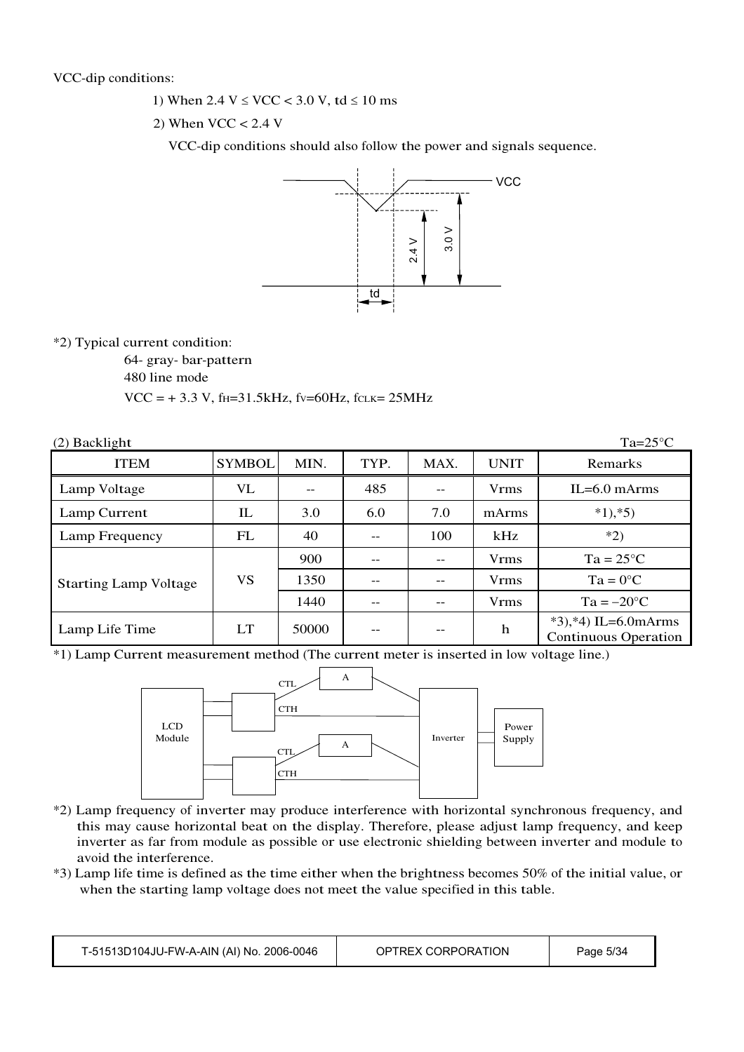- 1) When  $2.4 \text{ V} \leq \text{VCC} < 3.0 \text{ V}$ , td  $\leq 10 \text{ ms}$
- 2) When  $VCC < 2.4$  V

VCC-dip conditions should also follow the power and signals sequence.



#### \*2) Typical current condition:

64- gray- bar-pattern

480 line mode

 $VCC = +3.3 V$ , f<sub>H</sub>=31.5kHz, fv=60Hz, fcLK= 25MHz

| $(2)$ Backlight              |                                 |       |      |      |             | $Ta=25^{\circ}C$                                      |
|------------------------------|---------------------------------|-------|------|------|-------------|-------------------------------------------------------|
| <b>ITEM</b>                  | <b>SYMBOL</b>                   | MIN.  | TYP. | MAX. | <b>UNIT</b> | Remarks                                               |
| Lamp Voltage                 | VL                              | --    | 485  |      | <b>Vrms</b> | $IL=6.0$ mArms                                        |
| Lamp Current                 | $\mathop{\mathrm{IL}}\nolimits$ | 3.0   | 6.0  | 7.0  | mArms       | $*1, *5)$                                             |
| Lamp Frequency               | FL                              | 40    |      | 100  | kHz         | $*2)$                                                 |
|                              |                                 | 900   |      |      | <b>Vrms</b> | $Ta = 25^{\circ}C$                                    |
| <b>Starting Lamp Voltage</b> | VS                              | 1350  |      |      | <b>Vrms</b> | $Ta = 0^{\circ}C$                                     |
|                              |                                 | 1440  |      |      | <b>Vrms</b> | $Ta = -20$ °C                                         |
| Lamp Life Time               | LT                              | 50000 |      |      | h           | $*3, *4$ ) IL=6.0mArms<br><b>Continuous Operation</b> |

\*1) Lamp Current measurement method (The current meter is inserted in low voltage line.)



- \*2) Lamp frequency of inverter may produce interference with horizontal synchronous frequency, and this may cause horizontal beat on the display. Therefore, please adjust lamp frequency, and keep inverter as far from module as possible or use electronic shielding between inverter and module to avoid the interference.
- \*3) Lamp life time is defined as the time either when the brightness becomes 50% of the initial value, or when the starting lamp voltage does not meet the value specified in this table.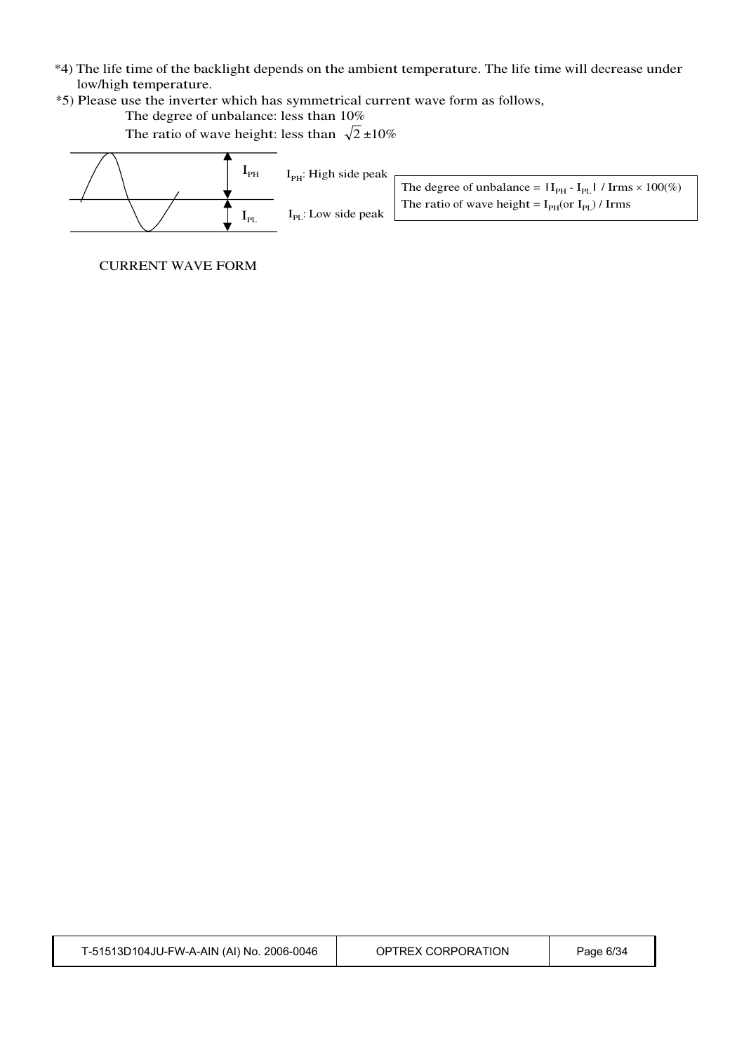- \*4) The life time of the backlight depends on the ambient temperature. The life time will decrease under low/high temperature.
- \*5) Please use the inverter which has symmetrical current wave form as follows,

The degree of unbalance: less than 10%

The ratio of wave height: less than  $\sqrt{2} \pm 10\%$ 



CURRENT WAVE FORM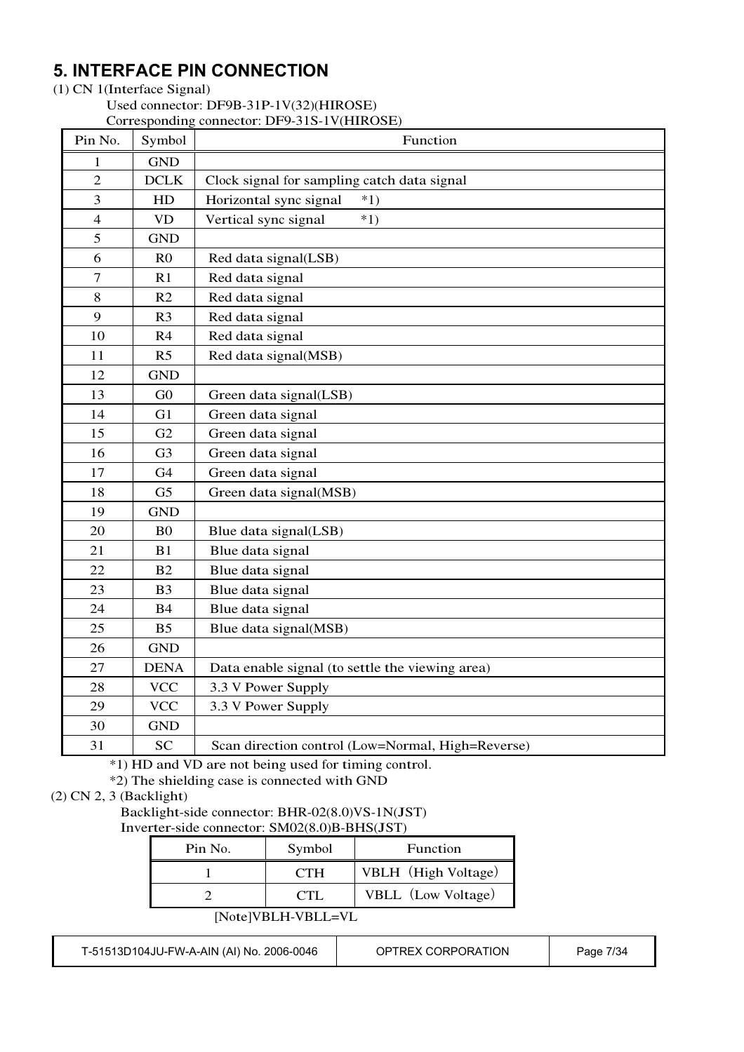### **5. INTERFACE PIN CONNECTION**

#### (1) CN 1(Interface Signal)

Used connector: DF9B-31P-1V(32)(HIROSE) Corresponding connector: DF9-31S-1V(HIROSE)

| Pin No.          | Symbol         | Corresponding connector. $D_Y$ -313-1 $\theta$ (FIINOSE)<br>Function |
|------------------|----------------|----------------------------------------------------------------------|
| $\mathbf{1}$     | <b>GND</b>     |                                                                      |
| $\overline{2}$   | <b>DCLK</b>    | Clock signal for sampling catch data signal                          |
| $\overline{3}$   | HD             | Horizontal sync signal<br>$*1)$                                      |
| $\overline{4}$   | <b>VD</b>      | Vertical sync signal<br>$*1)$                                        |
| 5                | <b>GND</b>     |                                                                      |
| 6                | R <sub>0</sub> | Red data signal(LSB)                                                 |
| $\boldsymbol{7}$ | R1             | Red data signal                                                      |
| 8                | R2             | Red data signal                                                      |
| 9                | R <sub>3</sub> | Red data signal                                                      |
| 10               | R4             | Red data signal                                                      |
| 11               | R <sub>5</sub> | Red data signal(MSB)                                                 |
| 12               | <b>GND</b>     |                                                                      |
| 13               | G <sub>0</sub> | Green data signal(LSB)                                               |
| 14               | G1             | Green data signal                                                    |
| 15               | G2             | Green data signal                                                    |
| 16               | G <sub>3</sub> | Green data signal                                                    |
| 17               | G4             | Green data signal                                                    |
| 18               | G <sub>5</sub> | Green data signal(MSB)                                               |
| 19               | <b>GND</b>     |                                                                      |
| 20               | B <sub>0</sub> | Blue data signal(LSB)                                                |
| 21               | B1             | Blue data signal                                                     |
| 22               | <b>B2</b>      | Blue data signal                                                     |
| 23               | B <sub>3</sub> | Blue data signal                                                     |
| 24               | <b>B4</b>      | Blue data signal                                                     |
| 25               | B <sub>5</sub> | Blue data signal(MSB)                                                |
| 26               | <b>GND</b>     |                                                                      |
| 27               | <b>DENA</b>    | Data enable signal (to settle the viewing area)                      |
| 28               | <b>VCC</b>     | 3.3 V Power Supply                                                   |
| 29               | <b>VCC</b>     | 3.3 V Power Supply                                                   |
| 30               | <b>GND</b>     |                                                                      |
| 31               | <b>SC</b>      | Scan direction control (Low=Normal, High=Reverse)                    |

\*1) HD and VD are not being used for timing control.

\*2) The shielding case is connected with GND

### (2) CN 2, 3 (Backlight)

Backlight-side connector: BHR-02(8.0)VS-1N(JST) Inverter-side connector: SM02(8.0)B-BHS(JST)

| Pin No. | Symbol     | <b>Function</b>     |
|---------|------------|---------------------|
|         | <b>CTH</b> | VBLH (High Voltage) |
|         |            | VBLL (Low Voltage)  |

[Note]VBLH-VBLL=VL

T-51513D104JU-FW-A-AIN (AI) No. 2006-0046 | OPTREX CORPORATION | Page 7/34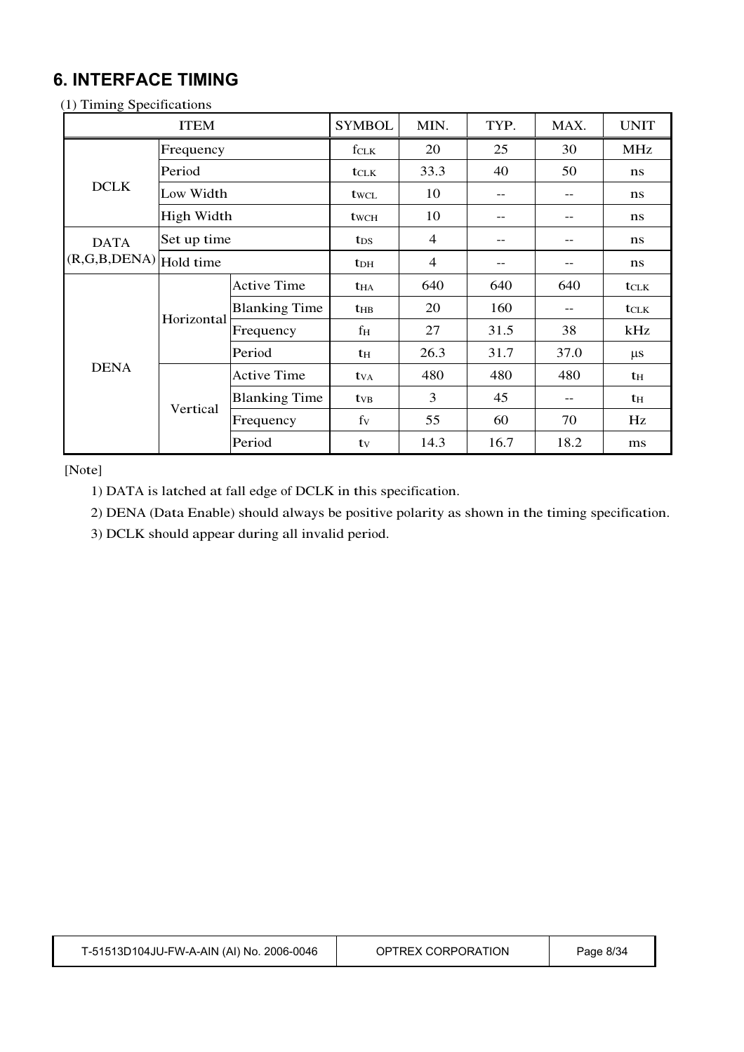### **6. INTERFACE TIMING**

| <b>ITEM</b>                 |             | <b>SYMBOL</b>        | MIN.                    | TYP.           | MAX. | <b>UNIT</b> |                |
|-----------------------------|-------------|----------------------|-------------------------|----------------|------|-------------|----------------|
|                             | Frequency   |                      | $f_{CLK}$               | 20             | 25   | 30          | <b>MHz</b>     |
|                             | Period      |                      | $t_{\text{CLK}}$        | 33.3           | 40   | 50          | ns             |
| <b>DCLK</b>                 | Low Width   |                      | twcl                    | 10             | --   | --          | ns             |
|                             | High Width  |                      | twc <sub>H</sub>        | 10             | --   |             | ns             |
| <b>DATA</b>                 | Set up time |                      | $t_{DS}$                | $\overline{4}$ | --   |             | ns             |
| $(R, G, B, DENA)$ Hold time |             |                      | <b>t</b> <sub>DH</sub>  | $\overline{4}$ | --   |             | ns             |
|                             | Horizontal  | <b>Active Time</b>   | <b>t</b> ha             | 640            | 640  | 640         | <b>t</b> CLK   |
|                             |             | <b>Blanking Time</b> | <b>t</b> HB             | 20             | 160  | --          | tclk           |
|                             |             | Frequency            | fн                      | 27             | 31.5 | 38          | kHz            |
|                             |             | Period               | th                      | 26.3           | 31.7 | 37.0        | $\mu s$        |
| <b>DENA</b>                 |             | <b>Active Time</b>   | <b>t</b> v <sub>A</sub> | 480            | 480  | 480         | t <sub>H</sub> |
|                             |             | <b>Blanking Time</b> | <b>t</b> <sub>VB</sub>  | 3              | 45   | --          | t <sub>H</sub> |
|                             | Vertical    | Frequency            | fy                      | 55             | 60   | 70          | Hz             |
|                             |             | Period               | tv                      | 14.3           | 16.7 | 18.2        | ms             |

(1) Timing Specifications

[Note]

1) DATA is latched at fall edge of DCLK in this specification.

2) DENA (Data Enable) should always be positive polarity as shown in the timing specification.

3) DCLK should appear during all invalid period.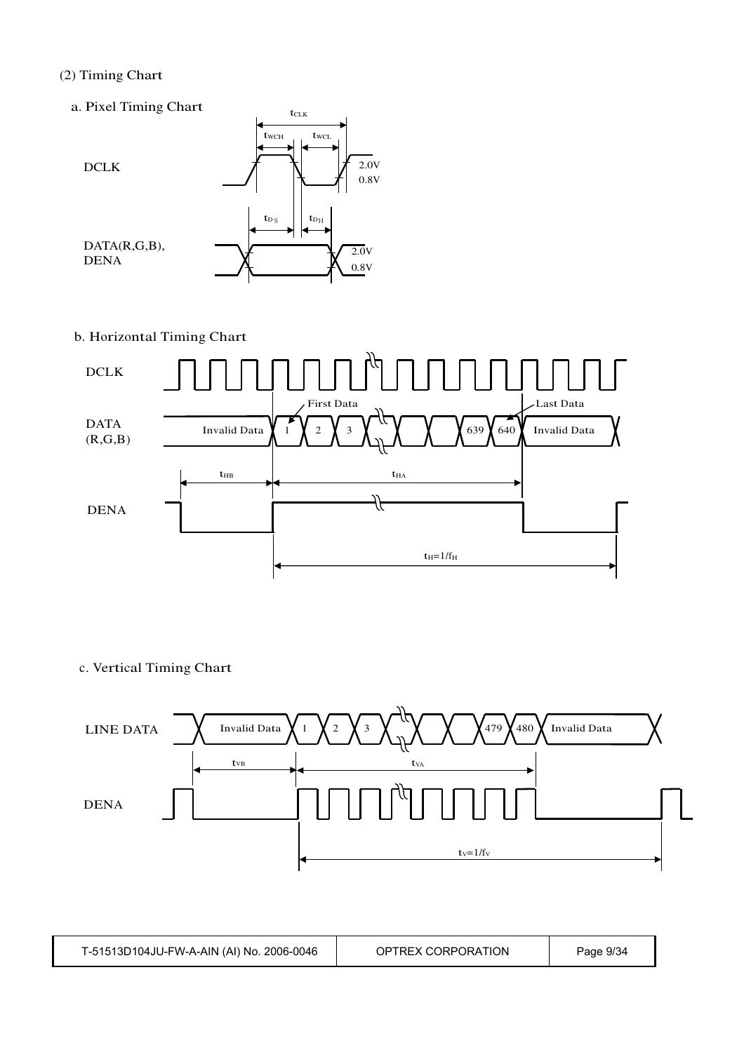### (2) Timing Chart

a. Pixel Timing Chart



b. Horizontal Timing Chart



c. Vertical Timing Chart



| T-51513D104JU-FW-A-AIN (AI) No. 2006-0046 | OPTREX CORPORATION | Page 9/34 |
|-------------------------------------------|--------------------|-----------|
|-------------------------------------------|--------------------|-----------|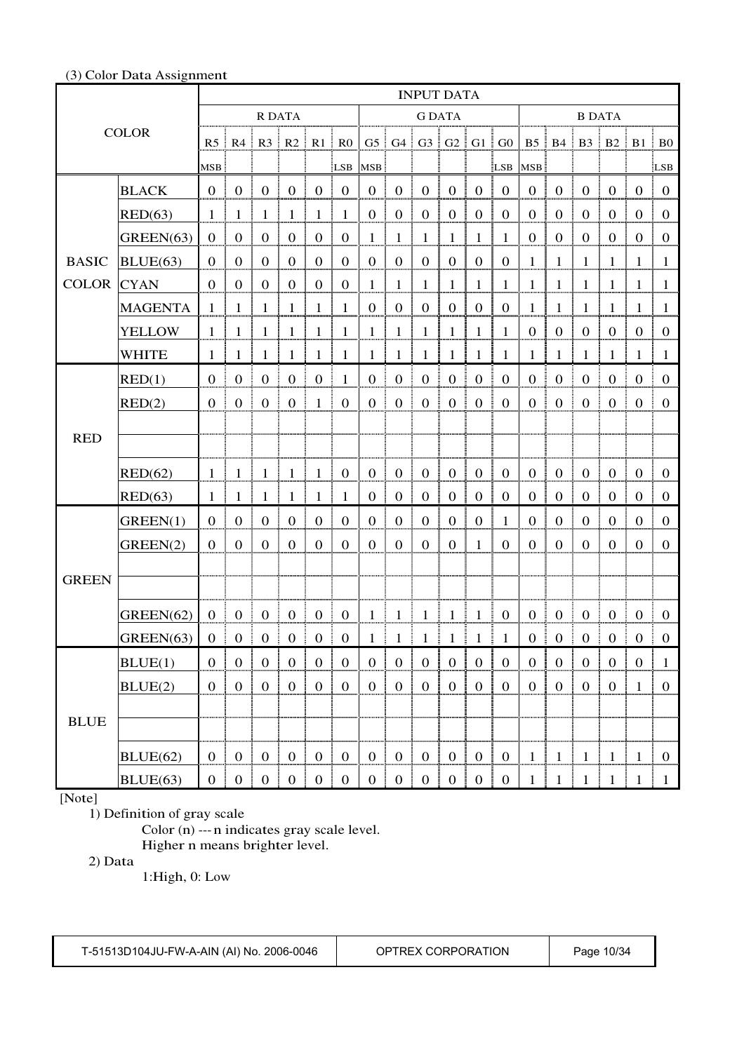#### (3) Color Data Assignment

|              |                |                  |                   |                                                        |                            |                  |                     |                   |                         | <b>INPUT DATA</b>             |                  |                       |                      |                  |                        |                               |                  |                                        |                  |
|--------------|----------------|------------------|-------------------|--------------------------------------------------------|----------------------------|------------------|---------------------|-------------------|-------------------------|-------------------------------|------------------|-----------------------|----------------------|------------------|------------------------|-------------------------------|------------------|----------------------------------------|------------------|
| <b>COLOR</b> |                |                  |                   | R DATA                                                 |                            |                  |                     | <b>G DATA</b>     |                         |                               |                  |                       |                      | <b>B DATA</b>    |                        |                               |                  |                                        |                  |
|              |                |                  |                   | $R5 \rvert R4 \rvert R3 \rvert R2 \rvert R1 \rvert R0$ |                            |                  |                     |                   |                         | $G5$ $G4$ $G3$ $G2$ $G1$ $G0$ |                  |                       |                      |                  |                        |                               |                  | B5   B4   B3   B2   B1   B0            |                  |
|              |                | MSB:             |                   |                                                        |                            |                  | LSB                 | MSB:              |                         |                               |                  |                       |                      | LSB MSB          |                        |                               |                  |                                        | LSB              |
|              | <b>BLACK</b>   | $0$              | $\mathbf{0}$      | $\boldsymbol{0}$                                       | $\overline{0}$<br>÷        | $\boldsymbol{0}$ | $\mathbf{0}$        | $\mathbf{0}$<br>ŧ | $\boldsymbol{0}$        | $\overline{0}$<br>÷           | $\boldsymbol{0}$ | $\boldsymbol{0}$      | $\boldsymbol{0}$     | $\overline{0}$   | $\boldsymbol{0}$<br>÷. | $\mathbf{0}$                  | $\overline{0}$   | $\boldsymbol{0}$                       | $\overline{0}$   |
|              | RED(63)        | 1                | $\mathbf{1}$      | $\mathbf{1}$                                           | $\mathbf{1}$               | $\mathbf{1}$     | 1                   | $\boldsymbol{0}$  | $\boldsymbol{0}$        | $\boldsymbol{0}$              | $\mathbf{0}$     | $\boldsymbol{0}$      | $\boldsymbol{0}$     | $\mathbf{0}$     | $\boldsymbol{0}$       | $\mathbf{0}$                  | $\mathbf{0}$     | $\boldsymbol{0}$                       | $\theta$         |
|              | GREEN(63)      | $\mathbf{0}$     | $\mathbf{0}$      | $\overline{0}$                                         | $\mathbf{0}$               | $\mathbf{0}$     | $\boldsymbol{0}$    | $\mathbf{1}$      | $\mathbf{1}$            | $\mathbf{1}$                  | $\mathbf{1}$     | $\mathbf{1}$          | 1                    | $\theta$         | $\boldsymbol{0}$       | $\overline{0}$                | $\mathbf{0}$     | $\mathbf{0}$                           | $\theta$         |
| <b>BASIC</b> | BLUE(63)       | $\mathbf{0}$     | $\mathbf{0}$      | $\Omega$                                               | $\mathbf{0}$               | $\mathbf 0$      | 0                   | $\overline{0}$    | $\overline{0}$          | $\boldsymbol{0}$              | $\mathbf{0}$     | $\boldsymbol{0}$      | $\theta$             | 1                | $\mathbf{1}$           | 1                             | 1                | 1                                      | 1                |
| <b>COLOR</b> | <b>CYAN</b>    | $\overline{0}$   | $\boldsymbol{0}$  | $\theta$                                               | $\boldsymbol{0}$           | $\mathbf{0}$     | $\mathbf{0}$        | $\mathbf{1}$      | $\mathbf{1}$            | $\mathbf{1}$                  | $\mathbf{1}$     | 1                     | 1                    | 1                | $\mathbf{1}$           | 1                             | 1                | 1                                      | 1                |
|              | <b>MAGENTA</b> | 1                | $\mathbf{1}$      | 1                                                      | $\mathbf{1}$               | $\mathbf{1}$     | 1                   | $\boldsymbol{0}$  | $\boldsymbol{0}$        | $\boldsymbol{0}$              | $\boldsymbol{0}$ | $\boldsymbol{0}$      | $\boldsymbol{0}$     | $\mathbf{1}$     | $\mathbf{1}$           | 1                             | -1               | 1                                      | 1                |
|              | <b>YELLOW</b>  | 1                | 1                 | 1                                                      | $\mathbf{1}$               | $\mathbf{1}$     | 1                   | $\mathbf{1}$      | $\mathbf{1}$            | $\mathbf{1}$                  | $\mathbf{1}$     | $\mathbf{1}$          | $\mathbf{1}$         | $\boldsymbol{0}$ | $\boldsymbol{0}$       | $\boldsymbol{0}$              | $\boldsymbol{0}$ | $\boldsymbol{0}$                       | $\boldsymbol{0}$ |
|              | <b>WHITE</b>   |                  | 1                 | 1                                                      | 1                          | 1                | 1                   | 1                 | 1                       | 1                             | $\mathbf{1}$     | 1                     | 1                    | 1                | 1                      | 1                             | 1                |                                        | 1                |
|              | RED(1)         | $\Omega$         | $\boldsymbol{0}$  | $\mathbf{0}$                                           | $\boldsymbol{0}$           | $\overline{0}$   | 1                   | $\boldsymbol{0}$  | $\boldsymbol{0}$        | $\boldsymbol{0}$              | $\mathbf{0}$     | $\boldsymbol{0}$      | $\boldsymbol{0}$     | $\boldsymbol{0}$ | $\boldsymbol{0}$       | $\mathbf{0}$                  | $\mathbf{0}$     | $\boldsymbol{0}$                       | $\overline{0}$   |
|              | RED(2)         | $\overline{0}$   | $\boldsymbol{0}$  | $\mathbf{0}$                                           | $\overline{0}$             | $\pm 1$          | $\mathbf{0}$        | $\boldsymbol{0}$  | $\boldsymbol{0}$        | $\boldsymbol{0}$              | $\overline{0}$   | $\boldsymbol{0}$      | $\boldsymbol{0}$     | $\boldsymbol{0}$ | $\overline{0}$<br>ŧ.   | $\mathbf{0}$                  | $\boldsymbol{0}$ | $\boldsymbol{0}$                       | $\mathbf{0}$     |
|              |                |                  |                   |                                                        |                            |                  |                     |                   |                         |                               |                  |                       |                      |                  |                        |                               |                  |                                        |                  |
| <b>RED</b>   |                |                  |                   |                                                        |                            |                  |                     |                   |                         |                               |                  |                       |                      |                  |                        |                               |                  |                                        |                  |
|              | RED(62)        | 1                | $\mathbf{1}$      | $\mathbf{1}$                                           | $\mathbf{1}$               | $\mathbf{1}$     | $\boldsymbol{0}$    | $\boldsymbol{0}$  | $\boldsymbol{0}$        | $\boldsymbol{0}$              | $\boldsymbol{0}$ | $\boldsymbol{0}$      | $\boldsymbol{0}$     | $\boldsymbol{0}$ | $\boldsymbol{0}$       | $\mathbf{0}$                  | $\boldsymbol{0}$ | $\mathbf{0}$                           | $\overline{0}$   |
|              | RED(63)        | $\mathbf{1}$     | $\mathbf{1}$      | $\mathbf{1}$                                           | 1                          | $\mathbf{1}$     | $\mathbf{1}$        | $\boldsymbol{0}$  | $\boldsymbol{0}$        | $\boldsymbol{0}$              | $\boldsymbol{0}$ | $\boldsymbol{0}$      | $\boldsymbol{0}$     | $\boldsymbol{0}$ | $\mathbf{0}$           | $\boldsymbol{0}$              | $\mathbf{0}$     | $\boldsymbol{0}$                       | $\boldsymbol{0}$ |
|              | GREEN(1)       | $\overline{0}$   | $\boldsymbol{0}$  | $\overline{0}$                                         | $\boldsymbol{0}$           | $\mathbf{0}$     | $\overline{0}$      | $\mathbf{0}$      | $\boldsymbol{0}$        | $\boldsymbol{0}$              | $\boldsymbol{0}$ | $\boldsymbol{0}$      | 1                    | $\boldsymbol{0}$ | $\boldsymbol{0}$       | $\mathbf{0}$                  | $\boldsymbol{0}$ | $\overline{0}$                         | $\overline{0}$   |
|              | GREEN(2)       | $\boldsymbol{0}$ | $\overline{0}$    | $\mathbf{0}$                                           | $\boldsymbol{0}$           | $\mathbf 0$      | $\overline{0}$      | $\mathbf{0}$      | $\mathbf{0}$            | $\mathbf{0}$                  | $\mathbf{0}$     | $\mathbf{1}$          | $\mathbf{0}$         | $\mathbf{0}$     | $\mathbf{0}$           | $\Omega$                      | $\theta$         | $\overline{0}$                         | $\overline{0}$   |
|              |                |                  |                   |                                                        |                            |                  |                     |                   |                         |                               |                  |                       |                      |                  |                        |                               |                  |                                        |                  |
| <b>GREEN</b> |                |                  |                   |                                                        |                            |                  |                     |                   |                         |                               |                  |                       |                      |                  |                        |                               |                  |                                        |                  |
|              | GREEN(62)      | 0 <sup>1</sup>   | $\mathbf{0}$      | $\boldsymbol{0}$                                       | ÷<br>$\boldsymbol{0}$<br>÷ | $\bf{0}$         | $\mathbf{0}$<br>Ŧ.  |                   | $1 \;   \; 1 \;   \; 1$ |                               | $1\quad1$        |                       | -1<br>$\overline{0}$ | $0 \quad 0$      |                        | $\overline{0}$                | $\pm 0$          | $\overline{0}$                         | $\overline{0}$   |
|              | GREEN(63)      |                  |                   | $0 \ 0 \ 0 \ 0 \ 0$                                    |                            |                  | $\mathbf{0}$        |                   |                         | $1 \t1 \t1 \t1 \t1 \t1$       |                  |                       | $\overline{1}$       |                  | $0 \nvert 0$           |                               |                  | $\begin{array}{c} 0 \end{array}$       | $\bf{0}$         |
|              | BLUE(1)        |                  | $0 \mid 0 \mid 0$ |                                                        |                            |                  | $\mathbf{0}$        |                   | $0 \mid 0 \mid 0$       |                               |                  |                       |                      | $0 \mid 0$       |                        | $\overline{0}$<br>÷           |                  | 0 0 1                                  |                  |
|              | BLUE(2)        | 0 <sup>1</sup>   | $\overline{0}$    | $\begin{array}{c} 0 \\ 0 \end{array}$                  | $\boldsymbol{0}$           | $\mathbf{0}$     | $\boldsymbol{0}$    | $\overline{0}$    | $\boldsymbol{0}$        | $\mathbf{0}$                  | $\mathbf{0}$     | $\mathbf{0}$          | $\boldsymbol{0}$     | $\overline{0}$   | $\boldsymbol{0}$       | $\mathbf{0}$                  | $\boldsymbol{0}$ | $\mathbf{1}$                           | $\boldsymbol{0}$ |
|              |                |                  |                   |                                                        |                            |                  |                     |                   |                         |                               |                  |                       |                      |                  |                        |                               |                  |                                        |                  |
| <b>BLUE</b>  |                |                  |                   |                                                        |                            |                  |                     |                   |                         |                               |                  |                       |                      |                  |                        |                               |                  |                                        |                  |
|              | BLUE(62)       |                  |                   | 0   0   0   0   0                                      |                            |                  | $\overline{0}$<br>÷ |                   |                         | 0   0   0   0   0   0         |                  |                       |                      |                  |                        |                               |                  | $1 \mid 1 \mid 1 \mid 1 \mid 1 \mid 0$ |                  |
|              | BLUE(63)       |                  |                   | 0   0   0   0   0   0                                  |                            |                  |                     |                   |                         |                               |                  | 0   0   0   0   0   0 |                      |                  |                        | $1 \mid 1 \mid 1 \mid 1 \mid$ |                  |                                        | $1 \mid 1$       |

[Note]

1) Definition of gray scale

Color (n) --- n indicates gray scale level. Higher n means brighter level.

2) Data

1:High, 0: Low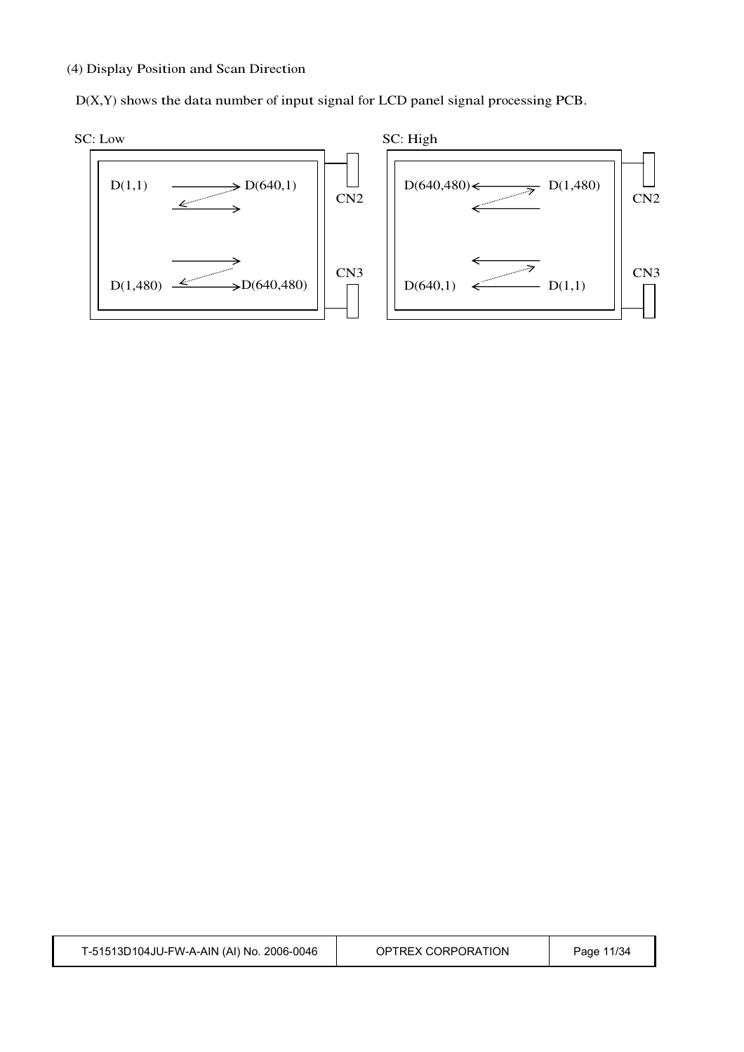#### (4) Display Position and Scan Direction

D(X,Y) shows the data number of input signal for LCD panel signal processing PCB.

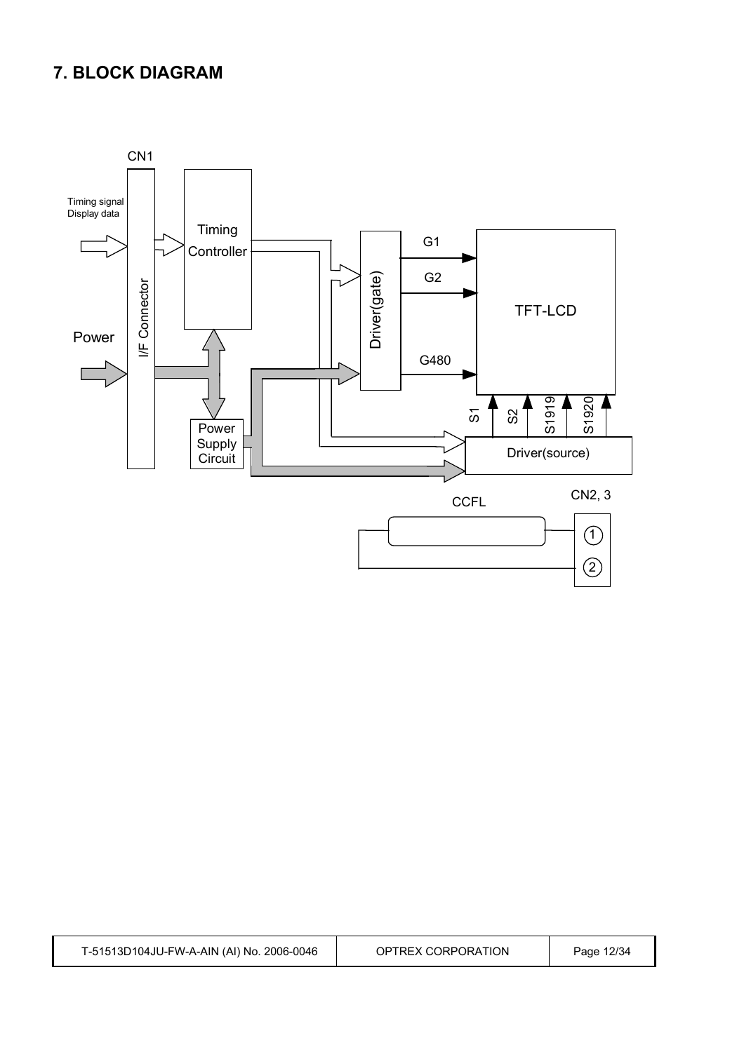### **7. BLOCK DIAGRAM**

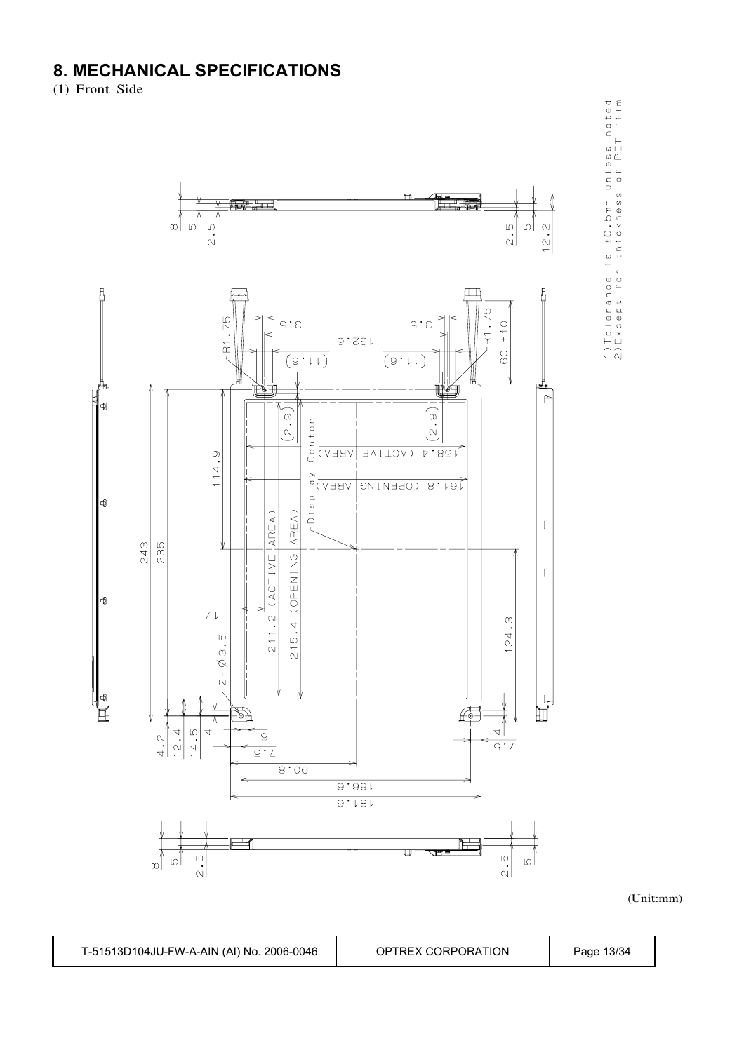### **8. MECHANICAL SPECIFICATIONS**

(1) Front Side



1) Tolerance is  $\pm 0$ , 5mm unless noted<br>2) Except for thickness of PET film

(Unit:mm)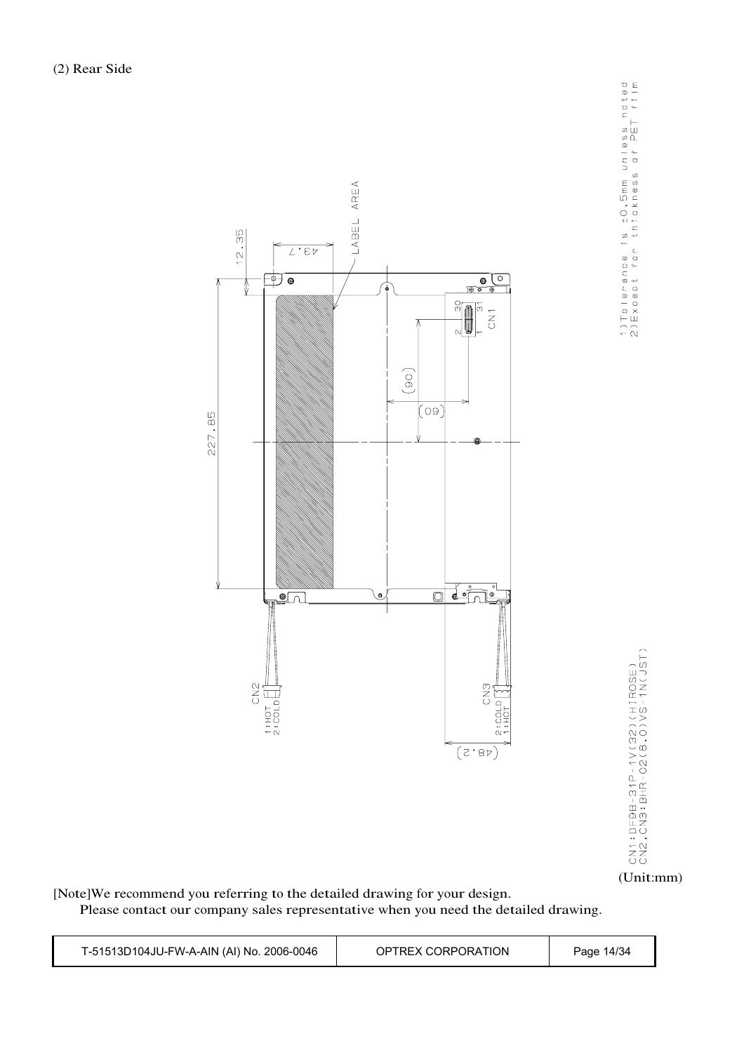

(Unit:mm)

[Note]We recommend you referring to the detailed drawing for your design.

Please contact our company sales representative when you need the detailed drawing.

| T-51513D104JU-FW-A-AIN (AI) No. 2006-0046 | OPTREX CORPORATION | Page 14/34 |
|-------------------------------------------|--------------------|------------|
|-------------------------------------------|--------------------|------------|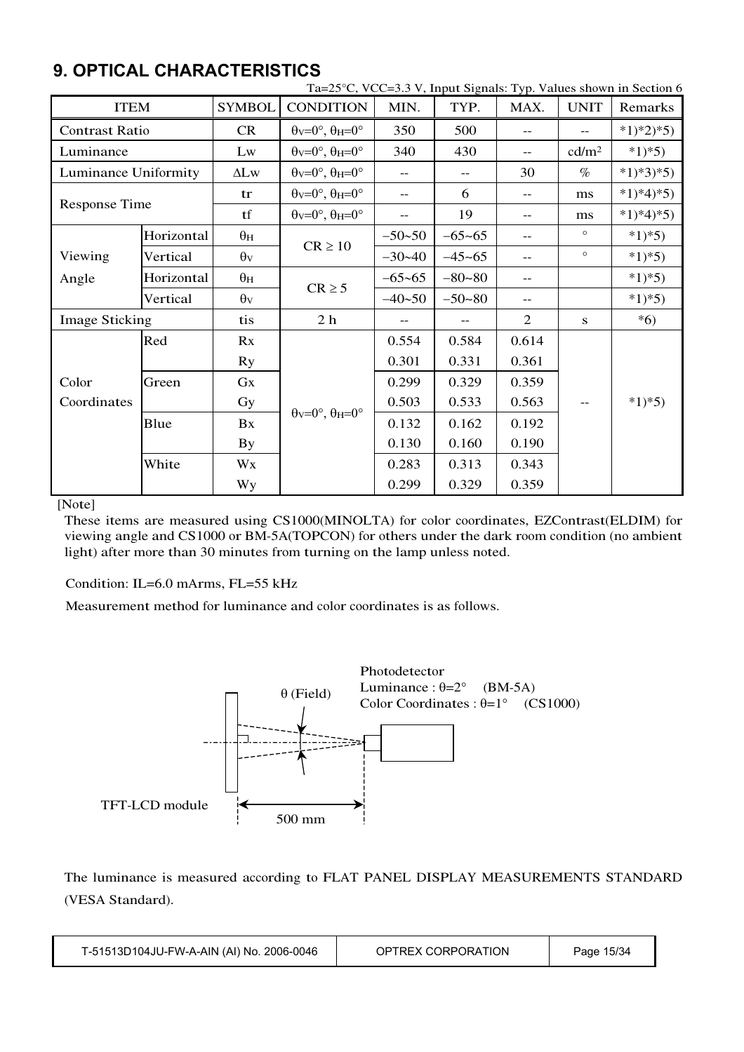| Ta=25°C, VCC=3.3 V, Input Signals: Typ. Values shown in Section 6 |            |               |                                                                       |                   |            |                          |                   |            |
|-------------------------------------------------------------------|------------|---------------|-----------------------------------------------------------------------|-------------------|------------|--------------------------|-------------------|------------|
| <b>ITEM</b>                                                       |            | <b>SYMBOL</b> | <b>CONDITION</b>                                                      | MIN.              | TYP.       | MAX.                     | <b>UNIT</b>       | Remarks    |
| <b>Contrast Ratio</b>                                             |            | CR            | $\theta$ <sub>V</sub> = $0^\circ$ , $\theta$ <sub>H</sub> = $0^\circ$ | 350               | 500        | $-$                      | $-$               | $*1)*2*5)$ |
| Luminance                                                         |            | Lw            | $\theta$ <sub>V</sub> = $0^\circ$ , $\theta$ <sub>H</sub> = $0^\circ$ | 340               | 430        | $-$                      | cd/m <sup>2</sup> | $*1)*5)$   |
| Luminance Uniformity                                              |            | $\Delta L$ w  | $\theta$ v=0°, $\theta$ H=0°                                          | $\qquad \qquad -$ | $- -$      | 30                       | $\%$              | $*1)*3*5)$ |
|                                                                   |            | tr            | $\theta$ v=0°, $\theta$ H=0°                                          | $- -$             | 6          | $\overline{\phantom{m}}$ | ms                | $*1)*4*5$  |
| Response Time                                                     |            | tf            | $\theta$ v=0°, $\theta$ H=0°                                          | $- -$             | 19         | $\overline{\phantom{m}}$ | ms                | $*1)*4*5)$ |
|                                                                   | Horizontal | $\theta$ H    |                                                                       | $-50 - 50$        | $-65 - 65$ | $-$                      | $\circ$           | $*1*5)$    |
| Viewing                                                           | Vertical   | $\theta$ v    | $CR \ge 10$                                                           | $-30-40$          | $-45 - 65$ | $-$                      | $\circ$           | $*1*5)$    |
| Angle                                                             | Horizontal | $\theta$ H    |                                                                       | $-65 - 65$        | $-80 - 80$ | $-$                      |                   | $*1)*5)$   |
|                                                                   | Vertical   | $\theta$ v    | $CR \geq 5$                                                           | $-40 - 50$        | $-50 - 80$ | $-\,-$                   |                   | $*1*5)$    |
| <b>Image Sticking</b>                                             |            | tis           | 2 <sub>h</sub>                                                        |                   |            | 2                        | ${\bf S}$         | $*6)$      |
|                                                                   | Red        | Rx            |                                                                       | 0.554             | 0.584      | 0.614                    |                   |            |
|                                                                   |            | <b>Ry</b>     |                                                                       | 0.301             | 0.331      | 0.361                    |                   |            |
| Color                                                             | Green      | Gx            |                                                                       | 0.299             | 0.329      | 0.359                    |                   |            |
| Coordinates                                                       |            | Gy            | $\theta$ v=0°, $\theta$ H=0°                                          | 0.503             | 0.533      | 0.563                    | --                | $*1)*5)$   |
| Blue                                                              |            | Bx            |                                                                       | 0.132             | 0.162      | 0.192                    |                   |            |
|                                                                   |            |               |                                                                       | 0.130             | 0.160      | 0.190                    |                   |            |
|                                                                   | White      | Wx            |                                                                       | 0.283             | 0.313      | 0.343                    |                   |            |
|                                                                   |            | <b>Wy</b>     |                                                                       | 0.299             | 0.329      | 0.359                    |                   |            |

### **9. OPTICAL CHARACTERISTICS**

[Note]

These items are measured using CS1000(MINOLTA) for color coordinates, EZContrast(ELDIM) for viewing angle and CS1000 or BM-5A(TOPCON) for others under the dark room condition (no ambient light) after more than 30 minutes from turning on the lamp unless noted.

Condition: IL=6.0 mArms, FL=55 kHz

Measurement method for luminance and color coordinates is as follows.



The luminance is measured according to FLAT PANEL DISPLAY MEASUREMENTS STANDARD (VESA Standard).

| T-51513D104JU-FW-A-AIN (AI) No. 2006-0046 | OPTREX CORPORATION | Page 15/34 |  |
|-------------------------------------------|--------------------|------------|--|
|-------------------------------------------|--------------------|------------|--|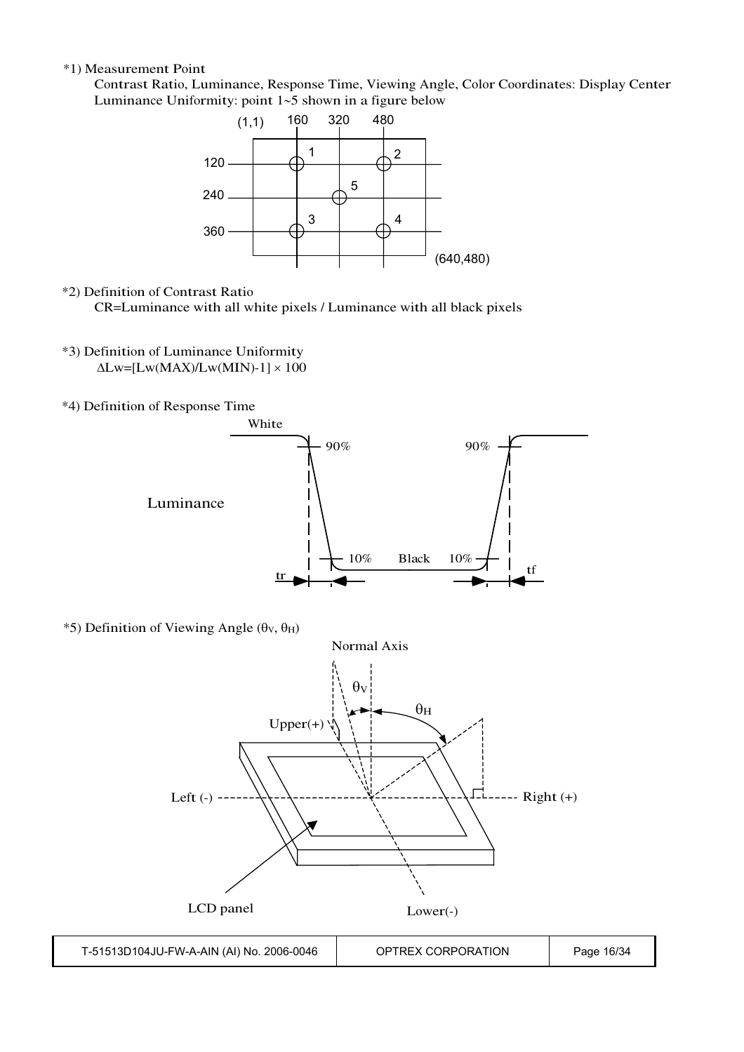#### \*1) Measurement Point

Contrast Ratio, Luminance, Response Time, Viewing Angle, Color Coordinates: Display Center Luminance Uniformity: point  $1-5$  shown in a figure below



#### \*2) Definition of Contrast Ratio

CR=Luminance with all white pixels / Luminance with all black pixels

- \*3) Definition of Luminance Uniformity  $\Delta$ Lw=[Lw(MAX)/Lw(MIN)-1]  $\times$  100
- \*4) Definition of Response Time



\*5) Definition of Viewing Angle ( $\theta$ v,  $\theta$ H)

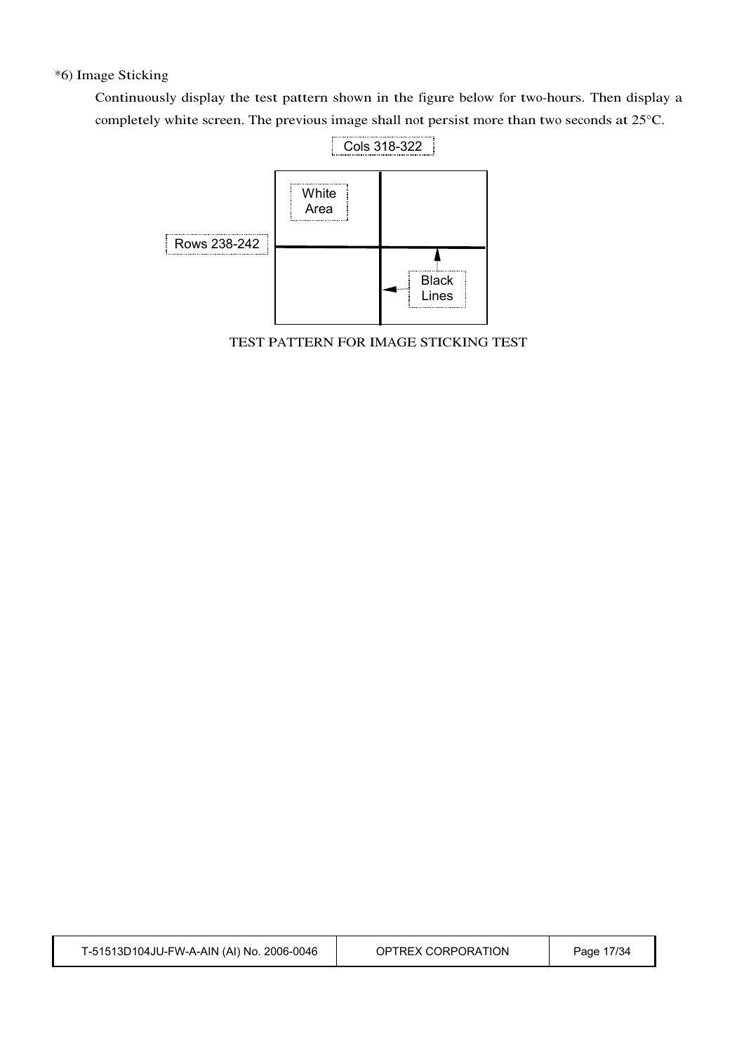#### \*6) Image Sticking

Continuously display the test pattern shown in the figure below for two-hours. Then display a completely white screen. The previous image shall not persist more than two seconds at 25°C.



TEST PATTERN FOR IMAGE STICKING TEST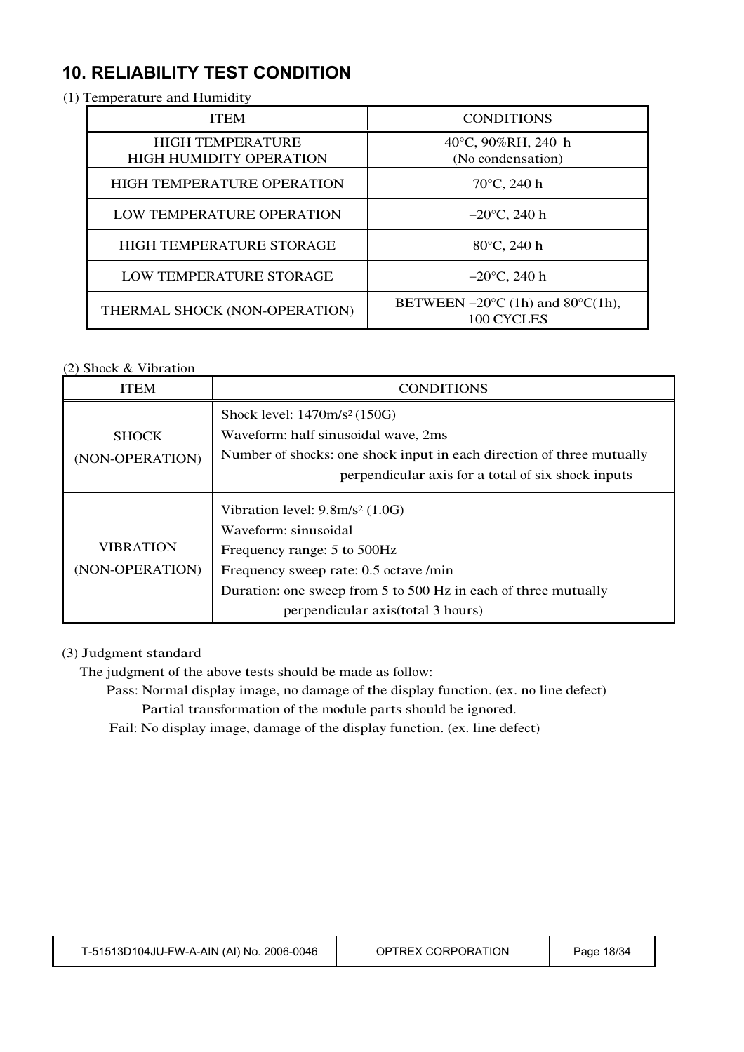## **10. RELIABILITY TEST CONDITION**

#### (1) Temperature and Humidity

| <b>ITEM</b>                                               | <b>CONDITIONS</b>                                                   |
|-----------------------------------------------------------|---------------------------------------------------------------------|
| <b>HIGH TEMPERATURE</b><br><b>HIGH HUMIDITY OPERATION</b> | 40°C, 90%RH, 240 h<br>(No condensation)                             |
| <b>HIGH TEMPERATURE OPERATION</b>                         | $70^{\circ}$ C, 240 h                                               |
| LOW TEMPERATURE OPERATION                                 | $-20^{\circ}$ C, 240 h                                              |
| HIGH TEMPERATURE STORAGE                                  | 80°C, 240 h                                                         |
| LOW TEMPERATURE STORAGE                                   | $-20^{\circ}$ C, 240 h                                              |
| THERMAL SHOCK (NON-OPERATION)                             | BETWEEN $-20^{\circ}$ C (1h) and 80 $^{\circ}$ C(1h),<br>100 CYCLES |

#### (2) Shock & Vibration

| ITEM                                | CONDITIONS                                                                                                                                                                                                   |
|-------------------------------------|--------------------------------------------------------------------------------------------------------------------------------------------------------------------------------------------------------------|
|                                     | Shock level: $1470m/s^2(150G)$                                                                                                                                                                               |
| <b>SHOCK</b>                        | Waveform: half sinusoidal wave, 2ms                                                                                                                                                                          |
| (NON-OPERATION)                     | Number of shocks: one shock input in each direction of three mutually                                                                                                                                        |
|                                     | perpendicular axis for a total of six shock inputs                                                                                                                                                           |
| <b>VIBRATION</b><br>(NON-OPERATION) | Vibration level: $9.8 \text{m/s}^2$ (1.0G)<br>Waveform: sinusoidal<br>Frequency range: 5 to 500Hz<br>Frequency sweep rate: 0.5 octave /min<br>Duration: one sweep from 5 to 500 Hz in each of three mutually |
|                                     | perpendicular axis (total 3 hours)                                                                                                                                                                           |

#### (3) Judgment standard

The judgment of the above tests should be made as follow:

- Pass: Normal display image, no damage of the display function. (ex. no line defect) Partial transformation of the module parts should be ignored.
- Fail: No display image, damage of the display function. (ex. line defect)